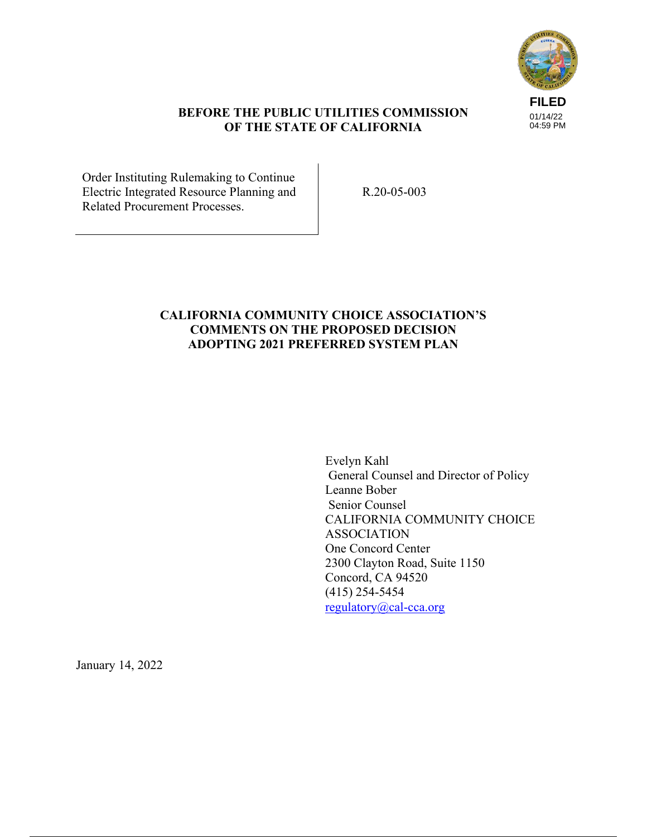

#### **BEFORE THE PUBLIC UTILITIES COMMISSION OF THE STATE OF CALIFORNIA**

Order Instituting Rulemaking to Continue Electric Integrated Resource Planning and Related Procurement Processes.

R.20-05-003

### **CALIFORNIA COMMUNITY CHOICE ASSOCIATION'S COMMENTS ON THE PROPOSED DECISION ADOPTING 2021 PREFERRED SYSTEM PLAN**

Evelyn Kahl General Counsel and Director of Policy Leanne Bober Senior Counsel CALIFORNIA COMMUNITY CHOICE ASSOCIATION One Concord Center 2300 Clayton Road, Suite 1150 Concord, CA 94520 (415) 254-5454 regulatory@cal-cca.org

January 14, 2022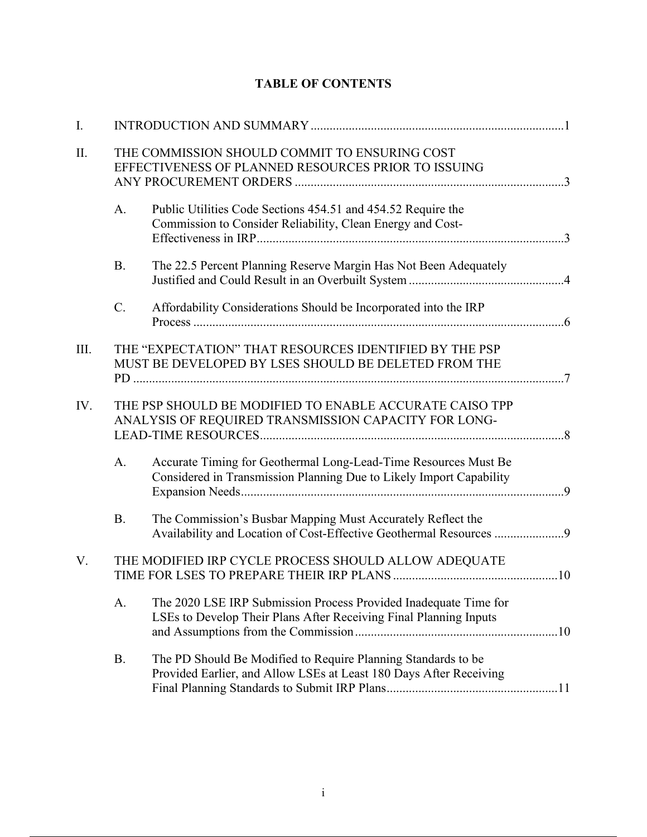| I.  |           |                                                                                                                                        |  |
|-----|-----------|----------------------------------------------------------------------------------------------------------------------------------------|--|
| Π.  |           | THE COMMISSION SHOULD COMMIT TO ENSURING COST<br>EFFECTIVENESS OF PLANNED RESOURCES PRIOR TO ISSUING                                   |  |
|     | A.        | Public Utilities Code Sections 454.51 and 454.52 Require the<br>Commission to Consider Reliability, Clean Energy and Cost-             |  |
|     | <b>B.</b> | The 22.5 Percent Planning Reserve Margin Has Not Been Adequately                                                                       |  |
|     | C.        | Affordability Considerations Should be Incorporated into the IRP                                                                       |  |
| Ш.  |           | THE "EXPECTATION" THAT RESOURCES IDENTIFIED BY THE PSP<br>MUST BE DEVELOPED BY LSES SHOULD BE DELETED FROM THE                         |  |
| IV. |           | THE PSP SHOULD BE MODIFIED TO ENABLE ACCURATE CAISO TPP<br>ANALYSIS OF REQUIRED TRANSMISSION CAPACITY FOR LONG-                        |  |
|     | A.        | Accurate Timing for Geothermal Long-Lead-Time Resources Must Be<br>Considered in Transmission Planning Due to Likely Import Capability |  |
|     | <b>B.</b> | The Commission's Busbar Mapping Must Accurately Reflect the<br>Availability and Location of Cost-Effective Geothermal Resources 9      |  |
| V.  |           | THE MODIFIED IRP CYCLE PROCESS SHOULD ALLOW ADEQUATE                                                                                   |  |
|     | A.        | The 2020 LSE IRP Submission Process Provided Inadequate Time for<br>LSEs to Develop Their Plans After Receiving Final Planning Inputs  |  |
|     | B.        | The PD Should Be Modified to Require Planning Standards to be<br>Provided Earlier, and Allow LSEs at Least 180 Days After Receiving    |  |

# **TABLE OF CONTENTS**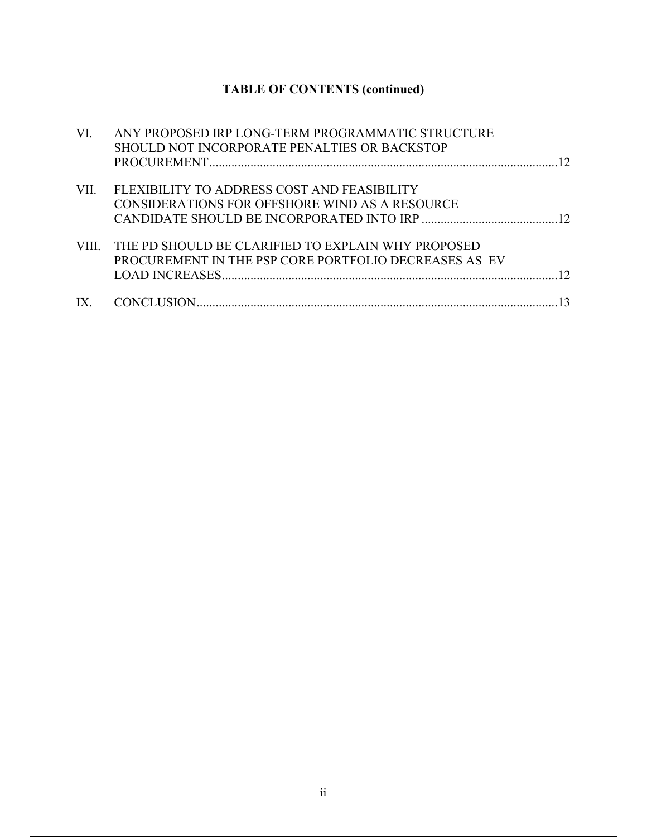# **TABLE OF CONTENTS (continued)**

| VI.  | ANY PROPOSED IRP LONG-TERM PROGRAMMATIC STRUCTURE        |  |
|------|----------------------------------------------------------|--|
|      | SHOULD NOT INCORPORATE PENALTIES OR BACKSTOP             |  |
|      |                                                          |  |
| VII. | FLEXIBILITY TO ADDRESS COST AND FEASIBILITY              |  |
|      | CONSIDERATIONS FOR OFFSHORE WIND AS A RESOURCE           |  |
|      |                                                          |  |
|      | VIII. THE PD SHOULD BE CLARIFIED TO EXPLAIN WHY PROPOSED |  |
|      | PROCUREMENT IN THE PSP CORE PORTFOLIO DECREASES AS EV    |  |
|      |                                                          |  |
|      |                                                          |  |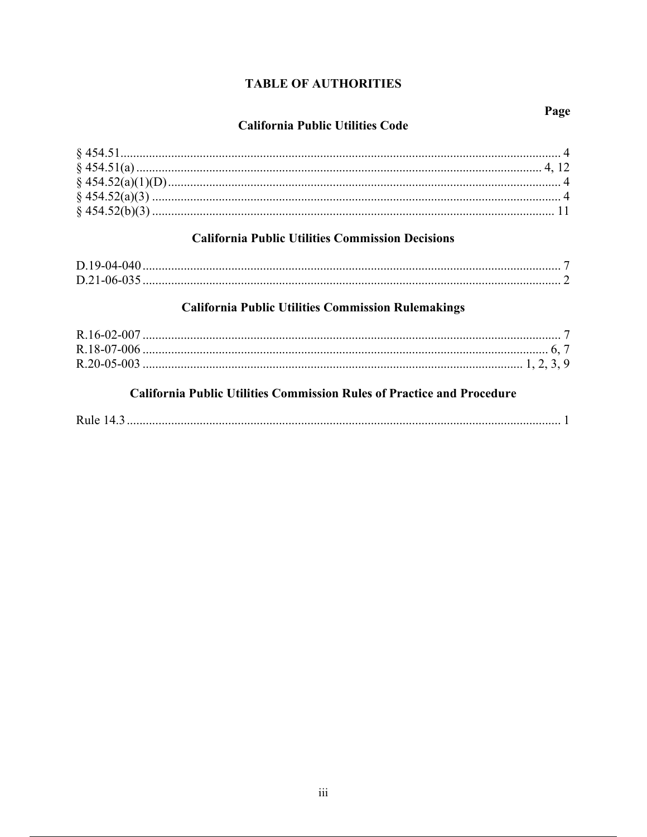# **TABLE OF AUTHORITIES**

# **California Public Utilities Commission Decisions**

# **California Public Utilities Commission Rulemakings**

# **California Public Utilities Commission Rules of Practice and Procedure**

|--|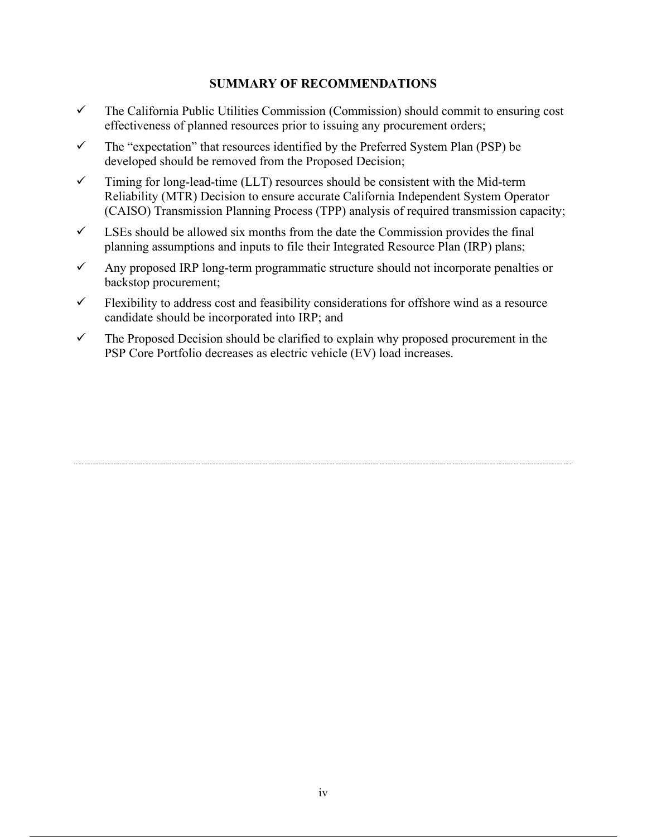#### **SUMMARY OF RECOMMENDATIONS**

- $\checkmark$  The California Public Utilities Commission (Commission) should commit to ensuring cost effectiveness of planned resources prior to issuing any procurement orders;
- $\checkmark$  The "expectation" that resources identified by the Preferred System Plan (PSP) be developed should be removed from the Proposed Decision;
- $\checkmark$  Timing for long-lead-time (LLT) resources should be consistent with the Mid-term Reliability (MTR) Decision to ensure accurate California Independent System Operator (CAISO) Transmission Planning Process (TPP) analysis of required transmission capacity;
- $\checkmark$  LSEs should be allowed six months from the date the Commission provides the final planning assumptions and inputs to file their Integrated Resource Plan (IRP) plans;
- $\checkmark$  Any proposed IRP long-term programmatic structure should not incorporate penalties or backstop procurement;
- $\checkmark$  Flexibility to address cost and feasibility considerations for offshore wind as a resource candidate should be incorporated into IRP; and
- $\checkmark$  The Proposed Decision should be clarified to explain why proposed procurement in the PSP Core Portfolio decreases as electric vehicle (EV) load increases.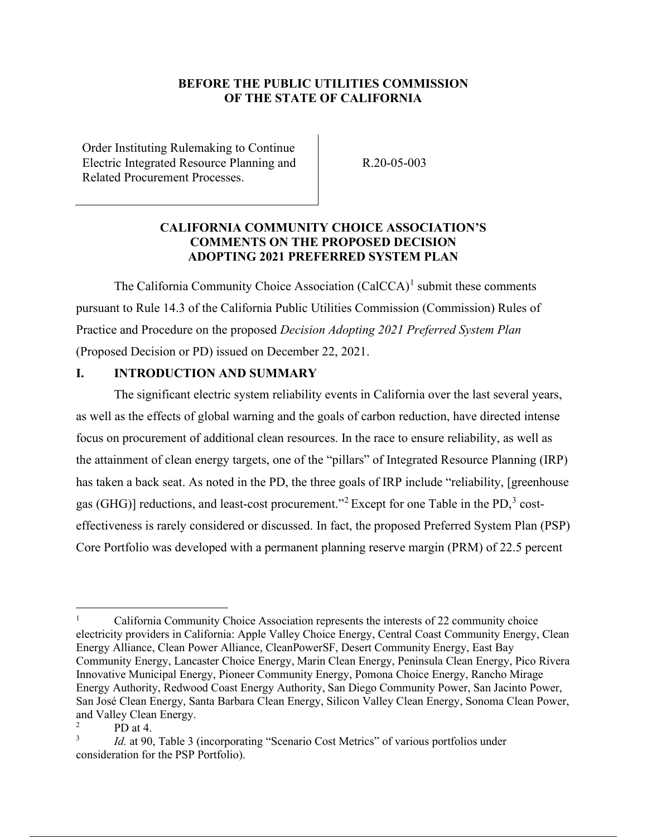#### **BEFORE THE PUBLIC UTILITIES COMMISSION OF THE STATE OF CALIFORNIA**

Order Instituting Rulemaking to Continue Electric Integrated Resource Planning and Related Procurement Processes.

R.20-05-003

#### **CALIFORNIA COMMUNITY CHOICE ASSOCIATION'S COMMENTS ON THE PROPOSED DECISION ADOPTING 2021 PREFERRED SYSTEM PLAN**

The California Community Choice Association  $(Ca<sup>1</sup>)<sup>1</sup>$  submit these comments pursuant to Rule 14.3 of the California Public Utilities Commission (Commission) Rules of Practice and Procedure on the proposed *Decision Adopting 2021 Preferred System Plan*  (Proposed Decision or PD) issued on December 22, 2021.

#### **I. INTRODUCTION AND SUMMARY**

The significant electric system reliability events in California over the last several years, as well as the effects of global warning and the goals of carbon reduction, have directed intense focus on procurement of additional clean resources. In the race to ensure reliability, as well as the attainment of clean energy targets, one of the "pillars" of Integrated Resource Planning (IRP) has taken a back seat. As noted in the PD, the three goals of IRP include "reliability, [greenhouse gas (GHG)] reductions, and least-cost procurement."<sup>2</sup> Except for one Table in the PD,<sup>3</sup> costeffectiveness is rarely considered or discussed. In fact, the proposed Preferred System Plan (PSP) Core Portfolio was developed with a permanent planning reserve margin (PRM) of 22.5 percent

<sup>1</sup> California Community Choice Association represents the interests of 22 community choice electricity providers in California: Apple Valley Choice Energy, Central Coast Community Energy, Clean Energy Alliance, Clean Power Alliance, CleanPowerSF, Desert Community Energy, East Bay Community Energy, Lancaster Choice Energy, Marin Clean Energy, Peninsula Clean Energy, Pico Rivera Innovative Municipal Energy, Pioneer Community Energy, Pomona Choice Energy, Rancho Mirage Energy Authority, Redwood Coast Energy Authority, San Diego Community Power, San Jacinto Power, San José Clean Energy, Santa Barbara Clean Energy, Silicon Valley Clean Energy, Sonoma Clean Power, and Valley Clean Energy.

<sup>2</sup> PD at 4.

<sup>3</sup> *Id.* at 90, Table 3 (incorporating "Scenario Cost Metrics" of various portfolios under consideration for the PSP Portfolio).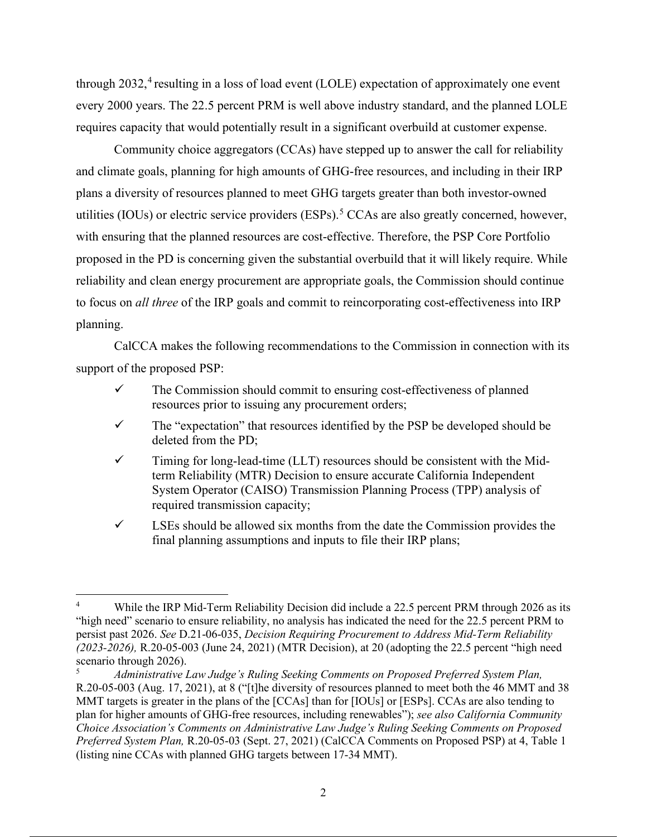through  $2032<sup>4</sup>$  resulting in a loss of load event (LOLE) expectation of approximately one event every 2000 years. The 22.5 percent PRM is well above industry standard, and the planned LOLE requires capacity that would potentially result in a significant overbuild at customer expense.

Community choice aggregators (CCAs) have stepped up to answer the call for reliability and climate goals, planning for high amounts of GHG-free resources, and including in their IRP plans a diversity of resources planned to meet GHG targets greater than both investor-owned utilities (IOUs) or electric service providers (ESPs).<sup>5</sup> CCAs are also greatly concerned, however. with ensuring that the planned resources are cost-effective. Therefore, the PSP Core Portfolio proposed in the PD is concerning given the substantial overbuild that it will likely require. While reliability and clean energy procurement are appropriate goals, the Commission should continue to focus on *all three* of the IRP goals and commit to reincorporating cost-effectiveness into IRP planning.

CalCCA makes the following recommendations to the Commission in connection with its support of the proposed PSP:

- $\checkmark$  The Commission should commit to ensuring cost-effectiveness of planned resources prior to issuing any procurement orders;
- $\checkmark$  The "expectation" that resources identified by the PSP be developed should be deleted from the PD;
- $\checkmark$  Timing for long-lead-time (LLT) resources should be consistent with the Midterm Reliability (MTR) Decision to ensure accurate California Independent System Operator (CAISO) Transmission Planning Process (TPP) analysis of required transmission capacity;
- $\checkmark$  LSEs should be allowed six months from the date the Commission provides the final planning assumptions and inputs to file their IRP plans;

<sup>4</sup> While the IRP Mid-Term Reliability Decision did include a 22.5 percent PRM through 2026 as its "high need" scenario to ensure reliability, no analysis has indicated the need for the 22.5 percent PRM to persist past 2026. *See* D.21-06-035, *Decision Requiring Procurement to Address Mid-Term Reliability (2023-2026),* R.20-05-003 (June 24, 2021) (MTR Decision), at 20 (adopting the 22.5 percent "high need scenario through 2026).

<sup>5</sup> *Administrative Law Judge's Ruling Seeking Comments on Proposed Preferred System Plan,* R.20-05-003 (Aug. 17, 2021), at 8 ("[t]he diversity of resources planned to meet both the 46 MMT and 38 MMT targets is greater in the plans of the [CCAs] than for [IOUs] or [ESPs]. CCAs are also tending to plan for higher amounts of GHG-free resources, including renewables"); *see also California Community Choice Association's Comments on Administrative Law Judge's Ruling Seeking Comments on Proposed Preferred System Plan,* R.20-05-03 (Sept. 27, 2021) (CalCCA Comments on Proposed PSP) at 4, Table 1 (listing nine CCAs with planned GHG targets between 17-34 MMT).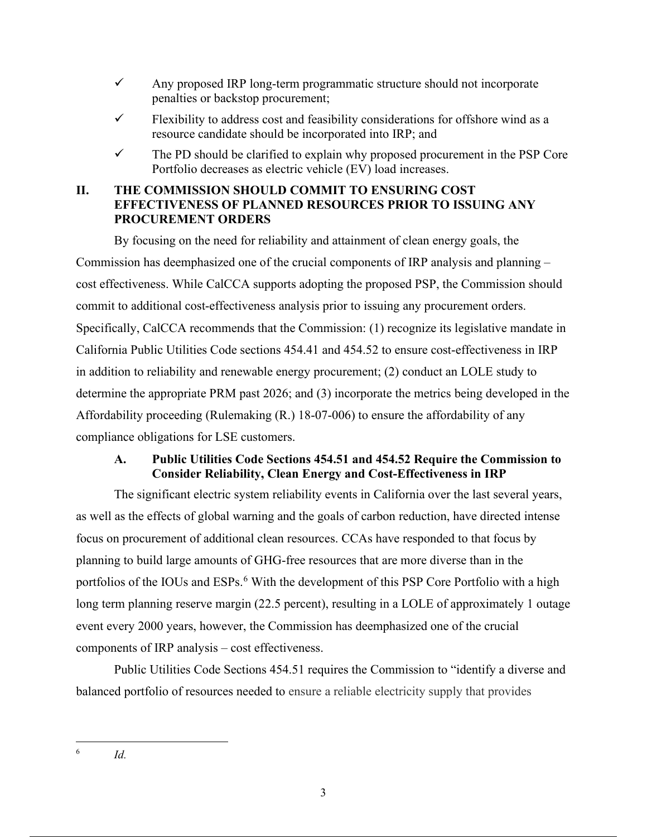- $\checkmark$  Any proposed IRP long-term programmatic structure should not incorporate penalties or backstop procurement;
- $\checkmark$  Flexibility to address cost and feasibility considerations for offshore wind as a resource candidate should be incorporated into IRP; and
- $\checkmark$  The PD should be clarified to explain why proposed procurement in the PSP Core Portfolio decreases as electric vehicle (EV) load increases.

# **II. THE COMMISSION SHOULD COMMIT TO ENSURING COST EFFECTIVENESS OF PLANNED RESOURCES PRIOR TO ISSUING ANY PROCUREMENT ORDERS**

By focusing on the need for reliability and attainment of clean energy goals, the Commission has deemphasized one of the crucial components of IRP analysis and planning – cost effectiveness. While CalCCA supports adopting the proposed PSP, the Commission should commit to additional cost-effectiveness analysis prior to issuing any procurement orders. Specifically, CalCCA recommends that the Commission: (1) recognize its legislative mandate in California Public Utilities Code sections 454.41 and 454.52 to ensure cost-effectiveness in IRP in addition to reliability and renewable energy procurement; (2) conduct an LOLE study to determine the appropriate PRM past 2026; and (3) incorporate the metrics being developed in the Affordability proceeding (Rulemaking (R.) 18-07-006) to ensure the affordability of any compliance obligations for LSE customers.

# **A. Public Utilities Code Sections 454.51 and 454.52 Require the Commission to Consider Reliability, Clean Energy and Cost-Effectiveness in IRP**

The significant electric system reliability events in California over the last several years, as well as the effects of global warning and the goals of carbon reduction, have directed intense focus on procurement of additional clean resources. CCAs have responded to that focus by planning to build large amounts of GHG-free resources that are more diverse than in the portfolios of the IOUs and ESPs.<sup>6</sup> With the development of this PSP Core Portfolio with a high long term planning reserve margin (22.5 percent), resulting in a LOLE of approximately 1 outage event every 2000 years, however, the Commission has deemphasized one of the crucial components of IRP analysis – cost effectiveness.

Public Utilities Code Sections 454.51 requires the Commission to "identify a diverse and balanced portfolio of resources needed to ensure a reliable electricity supply that provides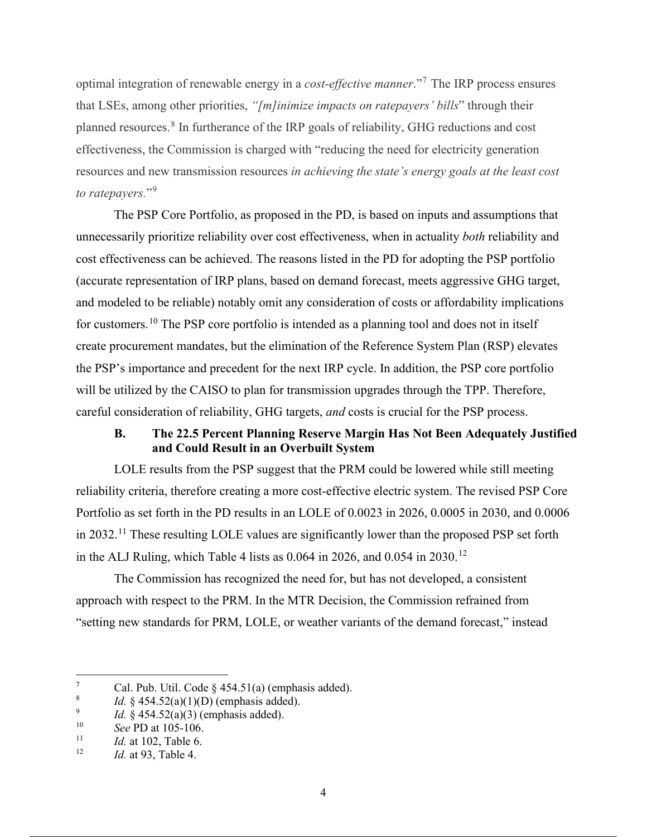optimal integration of renewable energy in a *cost-effective manner*."<sup>7</sup> The IRP process ensures that LSEs, among other priorities, *"[m]inimize impacts on ratepayers' bills*" through their planned resources.<sup>8</sup> In furtherance of the IRP goals of reliability, GHG reductions and cost effectiveness, the Commission is charged with "reducing the need for electricity generation resources and new transmission resources *in achieving the state's energy goals at the least cost*  to ratepayers."<sup>9</sup>

The PSP Core Portfolio, as proposed in the PD, is based on inputs and assumptions that unnecessarily prioritize reliability over cost effectiveness, when in actuality *both* reliability and cost effectiveness can be achieved. The reasons listed in the PD for adopting the PSP portfolio (accurate representation of IRP plans, based on demand forecast, meets aggressive GHG target, and modeled to be reliable) notably omit any consideration of costs or affordability implications for customers.<sup>10</sup> The PSP core portfolio is intended as a planning tool and does not in itself create procurement mandates, but the elimination of the Reference System Plan (RSP) elevates the PSP's importance and precedent for the next IRP cycle. In addition, the PSP core portfolio will be utilized by the CAISO to plan for transmission upgrades through the TPP. Therefore, careful consideration of reliability, GHG targets, *and* costs is crucial for the PSP process.

# **B. The 22.5 Percent Planning Reserve Margin Has Not Been Adequately Justified and Could Result in an Overbuilt System**

LOLE results from the PSP suggest that the PRM could be lowered while still meeting reliability criteria, therefore creating a more cost-effective electric system. The revised PSP Core Portfolio as set forth in the PD results in an LOLE of 0.0023 in 2026, 0.0005 in 2030, and 0.0006 in 2032.<sup>11</sup> These resulting LOLE values are significantly lower than the proposed PSP set forth in the ALJ Ruling, which Table 4 lists as  $0.064$  in 2026, and  $0.054$  in 2030.<sup>12</sup>

The Commission has recognized the need for, but has not developed, a consistent approach with respect to the PRM. In the MTR Decision, the Commission refrained from "setting new standards for PRM, LOLE, or weather variants of the demand forecast," instead

<sup>7</sup> Cal. Pub. Util. Code  $\frac{24.51(a)}{24.51(b)}$  (emphasis added).

<sup>8</sup> *Id.* § 454.52(a)(1)(D) (emphasis added).

<sup>9</sup> <sup>9</sup> *Id.* § 454.52(a)(3) (emphasis added).<br><sup>10</sup> See PD at 105, 106

<sup>&</sup>lt;sup>10</sup> *See PD at 105-106.*<br><sup>11</sup> *Id at 102* Table 6

<sup>&</sup>lt;sup>11</sup> *Id.* at 102, Table 6.<br><sup>12</sup> *Id.* at 03. Table 4.

*Id.* at 93, Table 4.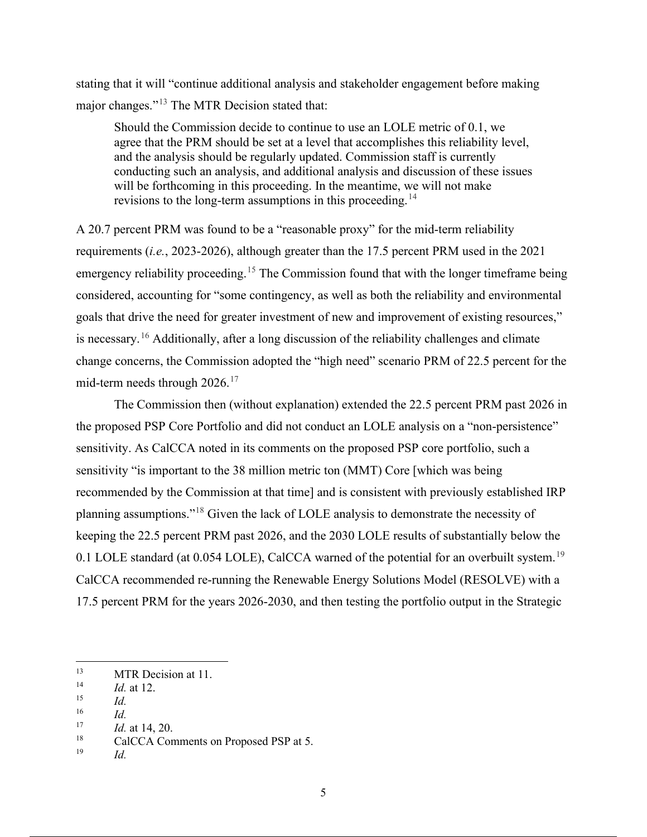stating that it will "continue additional analysis and stakeholder engagement before making major changes."<sup>13</sup> The MTR Decision stated that:

Should the Commission decide to continue to use an LOLE metric of 0.1, we agree that the PRM should be set at a level that accomplishes this reliability level, and the analysis should be regularly updated. Commission staff is currently conducting such an analysis, and additional analysis and discussion of these issues will be forthcoming in this proceeding. In the meantime, we will not make revisions to the long-term assumptions in this proceeding.<sup>14</sup>

A 20.7 percent PRM was found to be a "reasonable proxy" for the mid-term reliability requirements (*i.e.*, 2023-2026), although greater than the 17.5 percent PRM used in the 2021 emergency reliability proceeding.<sup>15</sup> The Commission found that with the longer timeframe being considered, accounting for "some contingency, as well as both the reliability and environmental goals that drive the need for greater investment of new and improvement of existing resources," is necessary.<sup>16</sup> Additionally, after a long discussion of the reliability challenges and climate change concerns, the Commission adopted the "high need" scenario PRM of 22.5 percent for the mid-term needs through  $2026$ .<sup>17</sup>

The Commission then (without explanation) extended the 22.5 percent PRM past 2026 in the proposed PSP Core Portfolio and did not conduct an LOLE analysis on a "non-persistence" sensitivity. As CalCCA noted in its comments on the proposed PSP core portfolio, such a sensitivity "is important to the 38 million metric ton (MMT) Core [which was being recommended by the Commission at that time] and is consistent with previously established IRP planning assumptions."18 Given the lack of LOLE analysis to demonstrate the necessity of keeping the 22.5 percent PRM past 2026, and the 2030 LOLE results of substantially below the 0.1 LOLE standard (at 0.054 LOLE), CalCCA warned of the potential for an overbuilt system.<sup>19</sup> CalCCA recommended re-running the Renewable Energy Solutions Model (RESOLVE) with a 17.5 percent PRM for the years 2026-2030, and then testing the portfolio output in the Strategic

<sup>&</sup>lt;sup>13</sup> MTR Decision at 11.

 $\frac{14}{15}$  *Id.* at 12.

 $\begin{array}{cc} 15 & \text{Id.} \\ 16 & \text{Id.} \end{array}$ 

 $\frac{16}{17}$  *Id.* 

 $17 \t\t Id. \text{ at } 14, 20.$ <br> $18 \t\t CalCA Con$ 

<sup>&</sup>lt;sup>18</sup> CalCCA Comments on Proposed PSP at 5.<br> $\frac{19}{14}$ 

*Id.*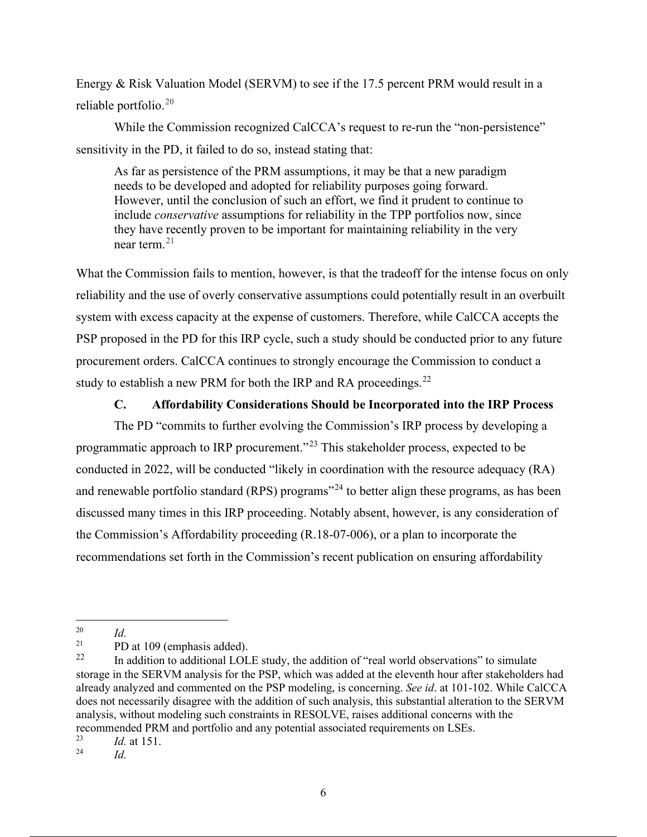Energy & Risk Valuation Model (SERVM) to see if the 17.5 percent PRM would result in a reliable portfolio. 20

While the Commission recognized CalCCA's request to re-run the "non-persistence" sensitivity in the PD, it failed to do so, instead stating that:

As far as persistence of the PRM assumptions, it may be that a new paradigm needs to be developed and adopted for reliability purposes going forward. However, until the conclusion of such an effort, we find it prudent to continue to include *conservative* assumptions for reliability in the TPP portfolios now, since they have recently proven to be important for maintaining reliability in the very near term  $21$ 

What the Commission fails to mention, however, is that the tradeoff for the intense focus on only reliability and the use of overly conservative assumptions could potentially result in an overbuilt system with excess capacity at the expense of customers. Therefore, while CalCCA accepts the PSP proposed in the PD for this IRP cycle, such a study should be conducted prior to any future procurement orders. CalCCA continues to strongly encourage the Commission to conduct a study to establish a new PRM for both the IRP and RA proceedings.<sup>22</sup>

#### **C. Affordability Considerations Should be Incorporated into the IRP Process**

The PD "commits to further evolving the Commission's IRP process by developing a programmatic approach to IRP procurement."<sup>23</sup> This stakeholder process, expected to be conducted in 2022, will be conducted "likely in coordination with the resource adequacy (RA) and renewable portfolio standard (RPS) programs<sup> $24$ </sup> to better align these programs, as has been discussed many times in this IRP proceeding. Notably absent, however, is any consideration of the Commission's Affordability proceeding (R.18-07-006), or a plan to incorporate the recommendations set forth in the Commission's recent publication on ensuring affordability

 $\frac{20}{21}$  *Id.* **DD** 

<sup>&</sup>lt;sup>21</sup> PD at 109 (emphasis added).<br><sup>22</sup> In addition to additional LOI

<sup>22</sup> In addition to additional LOLE study, the addition of "real world observations" to simulate storage in the SERVM analysis for the PSP, which was added at the eleventh hour after stakeholders had already analyzed and commented on the PSP modeling, is concerning. *See id*. at 101-102. While CalCCA does not necessarily disagree with the addition of such analysis, this substantial alteration to the SERVM analysis, without modeling such constraints in RESOLVE, raises additional concerns with the recommended PRM and portfolio and any potential associated requirements on LSEs.<br> $\frac{23}{1}$  at 151

 $\frac{23}{24}$  *Id.* at 151.

<sup>24</sup> *Id.*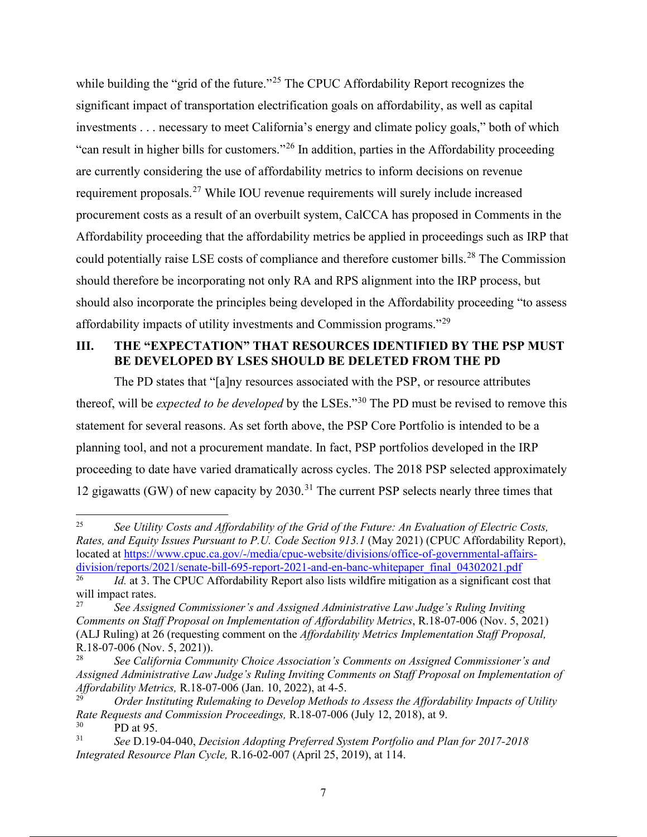while building the "grid of the future."<sup>25</sup> The CPUC Affordability Report recognizes the significant impact of transportation electrification goals on affordability, as well as capital investments . . . necessary to meet California's energy and climate policy goals," both of which "can result in higher bills for customers."26 In addition, parties in the Affordability proceeding are currently considering the use of affordability metrics to inform decisions on revenue requirement proposals.<sup>27</sup> While IOU revenue requirements will surely include increased procurement costs as a result of an overbuilt system, CalCCA has proposed in Comments in the Affordability proceeding that the affordability metrics be applied in proceedings such as IRP that could potentially raise LSE costs of compliance and therefore customer bills.<sup>28</sup> The Commission should therefore be incorporating not only RA and RPS alignment into the IRP process, but should also incorporate the principles being developed in the Affordability proceeding "to assess affordability impacts of utility investments and Commission programs."29

#### **III. THE "EXPECTATION" THAT RESOURCES IDENTIFIED BY THE PSP MUST BE DEVELOPED BY LSES SHOULD BE DELETED FROM THE PD**

The PD states that "[a]ny resources associated with the PSP, or resource attributes thereof, will be *expected to be developed* by the LSEs."30 The PD must be revised to remove this statement for several reasons. As set forth above, the PSP Core Portfolio is intended to be a planning tool, and not a procurement mandate. In fact, PSP portfolios developed in the IRP proceeding to date have varied dramatically across cycles. The 2018 PSP selected approximately 12 gigawatts (GW) of new capacity by  $2030$ .<sup>31</sup> The current PSP selects nearly three times that

<sup>25</sup> *See Utility Costs and Affordability of the Grid of the Future: An Evaluation of Electric Costs, Rates, and Equity Issues Pursuant to P.U. Code Section 913.1* (May 2021) (CPUC Affordability Report), located at https://www.cpuc.ca.gov/-/media/cpuc-website/divisions/office-of-governmental-affairsdivision/reports/2021/senate-bill-695-report-2021-and-en-banc-whitepaper\_final\_04302021.pdf

Id. at 3. The CPUC Affordability Report also lists wildfire mitigation as a significant cost that will impact rates.<br> $\frac{27}{27}$  See Assing

<sup>27</sup> *See Assigned Commissioner's and Assigned Administrative Law Judge's Ruling Inviting Comments on Staff Proposal on Implementation of Affordability Metrics*, R.18-07-006 (Nov. 5, 2021) (ALJ Ruling) at 26 (requesting comment on the *Affordability Metrics Implementation Staff Proposal,*  R.18-07-006 (Nov. 5, 2021)).

<sup>28</sup> *See California Community Choice Association's Comments on Assigned Commissioner's and Assigned Administrative Law Judge's Ruling Inviting Comments on Staff Proposal on Implementation of Affordability Metrics,* R.18-07-006 (Jan. 10, 2022), at 4-5.

<sup>29</sup> *Order Instituting Rulemaking to Develop Methods to Assess the Affordability Impacts of Utility Rate Requests and Commission Proceedings,* R.18-07-006 (July 12, 2018), at 9.

 $^{30}$  PD at 95.<br> $^{31}$  See D 19. 31 *See* D.19-04-040, *Decision Adopting Preferred System Portfolio and Plan for 2017-2018 Integrated Resource Plan Cycle,* R.16-02-007 (April 25, 2019), at 114.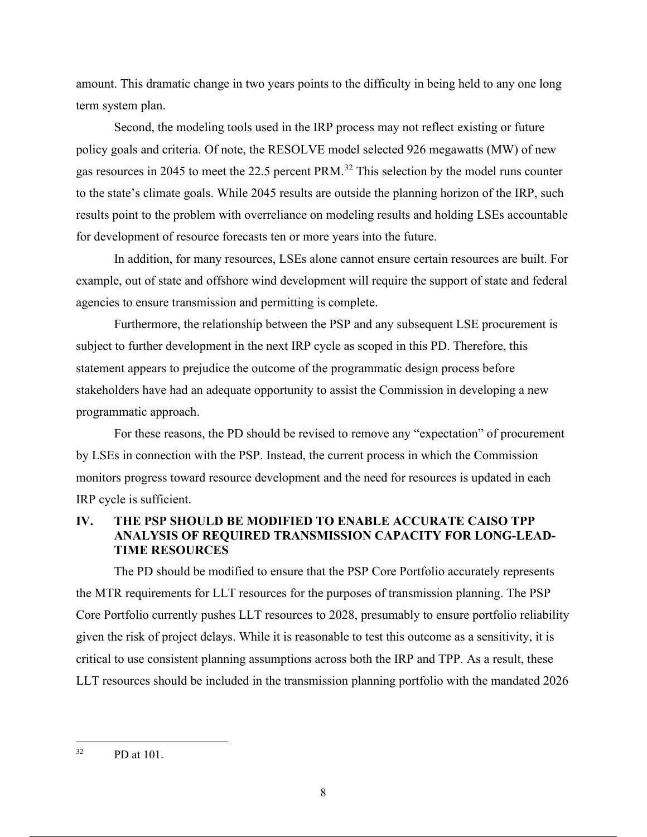amount. This dramatic change in two years points to the difficulty in being held to any one long term system plan.

Second, the modeling tools used in the IRP process may not reflect existing or future policy goals and criteria. Of note, the RESOLVE model selected 926 megawatts (MW) of new gas resources in 2045 to meet the 22.5 percent PRM.<sup>32</sup> This selection by the model runs counter to the state's climate goals. While 2045 results are outside the planning horizon of the IRP, such results point to the problem with overreliance on modeling results and holding LSEs accountable for development of resource forecasts ten or more years into the future.

In addition, for many resources, LSEs alone cannot ensure certain resources are built. For example, out of state and offshore wind development will require the support of state and federal agencies to ensure transmission and permitting is complete.

Furthermore, the relationship between the PSP and any subsequent LSE procurement is subject to further development in the next IRP cycle as scoped in this PD. Therefore, this statement appears to prejudice the outcome of the programmatic design process before stakeholders have had an adequate opportunity to assist the Commission in developing a new programmatic approach.

For these reasons, the PD should be revised to remove any "expectation" of procurement by LSEs in connection with the PSP. Instead, the current process in which the Commission monitors progress toward resource development and the need for resources is updated in each IRP cycle is sufficient.

#### **IV. THE PSP SHOULD BE MODIFIED TO ENABLE ACCURATE CAISO TPP ANALYSIS OF REQUIRED TRANSMISSION CAPACITY FOR LONG-LEAD-TIME RESOURCES**

The PD should be modified to ensure that the PSP Core Portfolio accurately represents the MTR requirements for LLT resources for the purposes of transmission planning. The PSP Core Portfolio currently pushes LLT resources to 2028, presumably to ensure portfolio reliability given the risk of project delays. While it is reasonable to test this outcome as a sensitivity, it is critical to use consistent planning assumptions across both the IRP and TPP. As a result, these LLT resources should be included in the transmission planning portfolio with the mandated 2026

 $32$  PD at 101.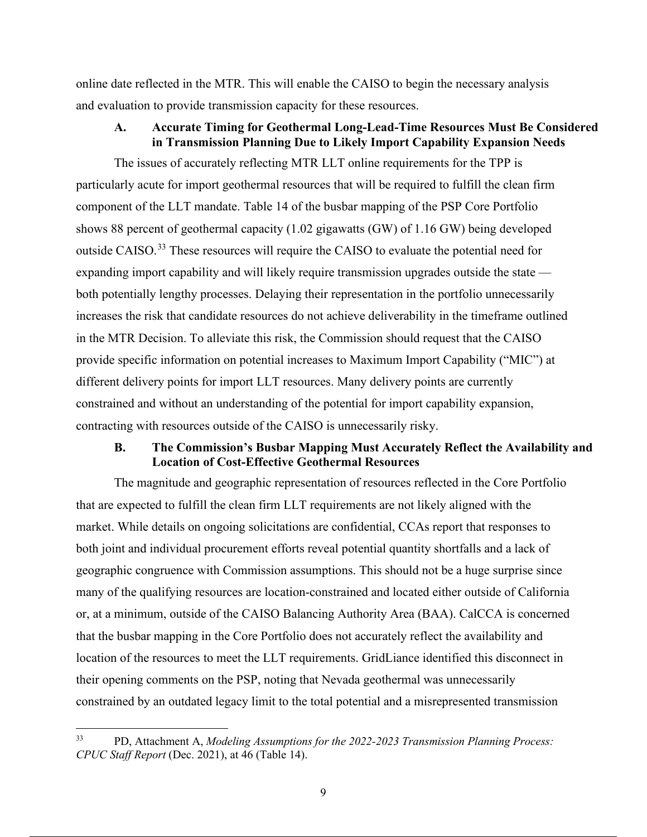online date reflected in the MTR. This will enable the CAISO to begin the necessary analysis and evaluation to provide transmission capacity for these resources.

#### **A. Accurate Timing for Geothermal Long-Lead-Time Resources Must Be Considered in Transmission Planning Due to Likely Import Capability Expansion Needs**

The issues of accurately reflecting MTR LLT online requirements for the TPP is particularly acute for import geothermal resources that will be required to fulfill the clean firm component of the LLT mandate. Table 14 of the busbar mapping of the PSP Core Portfolio shows 88 percent of geothermal capacity (1.02 gigawatts (GW) of 1.16 GW) being developed outside CAISO.<sup>33</sup> These resources will require the CAISO to evaluate the potential need for expanding import capability and will likely require transmission upgrades outside the state both potentially lengthy processes. Delaying their representation in the portfolio unnecessarily increases the risk that candidate resources do not achieve deliverability in the timeframe outlined in the MTR Decision. To alleviate this risk, the Commission should request that the CAISO provide specific information on potential increases to Maximum Import Capability ("MIC") at different delivery points for import LLT resources. Many delivery points are currently constrained and without an understanding of the potential for import capability expansion, contracting with resources outside of the CAISO is unnecessarily risky.

#### **B. The Commission's Busbar Mapping Must Accurately Reflect the Availability and Location of Cost-Effective Geothermal Resources**

The magnitude and geographic representation of resources reflected in the Core Portfolio that are expected to fulfill the clean firm LLT requirements are not likely aligned with the market. While details on ongoing solicitations are confidential, CCAs report that responses to both joint and individual procurement efforts reveal potential quantity shortfalls and a lack of geographic congruence with Commission assumptions. This should not be a huge surprise since many of the qualifying resources are location-constrained and located either outside of California or, at a minimum, outside of the CAISO Balancing Authority Area (BAA). CalCCA is concerned that the busbar mapping in the Core Portfolio does not accurately reflect the availability and location of the resources to meet the LLT requirements. GridLiance identified this disconnect in their opening comments on the PSP, noting that Nevada geothermal was unnecessarily constrained by an outdated legacy limit to the total potential and a misrepresented transmission

<sup>33</sup> PD, Attachment A, *Modeling Assumptions for the 2022-2023 Transmission Planning Process: CPUC Staff Report* (Dec. 2021), at 46 (Table 14).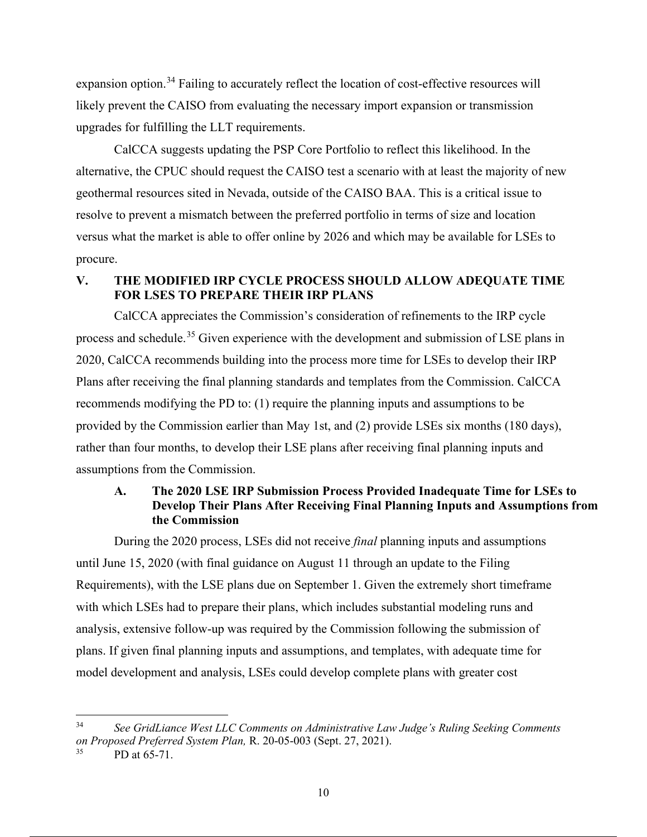expansion option.<sup>34</sup> Failing to accurately reflect the location of cost-effective resources will likely prevent the CAISO from evaluating the necessary import expansion or transmission upgrades for fulfilling the LLT requirements.

CalCCA suggests updating the PSP Core Portfolio to reflect this likelihood. In the alternative, the CPUC should request the CAISO test a scenario with at least the majority of new geothermal resources sited in Nevada, outside of the CAISO BAA. This is a critical issue to resolve to prevent a mismatch between the preferred portfolio in terms of size and location versus what the market is able to offer online by 2026 and which may be available for LSEs to procure.

## **V. THE MODIFIED IRP CYCLE PROCESS SHOULD ALLOW ADEQUATE TIME FOR LSES TO PREPARE THEIR IRP PLANS**

CalCCA appreciates the Commission's consideration of refinements to the IRP cycle process and schedule.<sup>35</sup> Given experience with the development and submission of LSE plans in 2020, CalCCA recommends building into the process more time for LSEs to develop their IRP Plans after receiving the final planning standards and templates from the Commission. CalCCA recommends modifying the PD to: (1) require the planning inputs and assumptions to be provided by the Commission earlier than May 1st, and (2) provide LSEs six months (180 days), rather than four months, to develop their LSE plans after receiving final planning inputs and assumptions from the Commission.

## **A. The 2020 LSE IRP Submission Process Provided Inadequate Time for LSEs to Develop Their Plans After Receiving Final Planning Inputs and Assumptions from the Commission**

During the 2020 process, LSEs did not receive *final* planning inputs and assumptions until June 15, 2020 (with final guidance on August 11 through an update to the Filing Requirements), with the LSE plans due on September 1. Given the extremely short timeframe with which LSEs had to prepare their plans, which includes substantial modeling runs and analysis, extensive follow-up was required by the Commission following the submission of plans. If given final planning inputs and assumptions, and templates, with adequate time for model development and analysis, LSEs could develop complete plans with greater cost

<sup>34</sup> *See GridLiance West LLC Comments on Administrative Law Judge's Ruling Seeking Comments on Proposed Preferred System Plan,* R. 20-05-003 (Sept. 27, 2021).

PD at 65-71.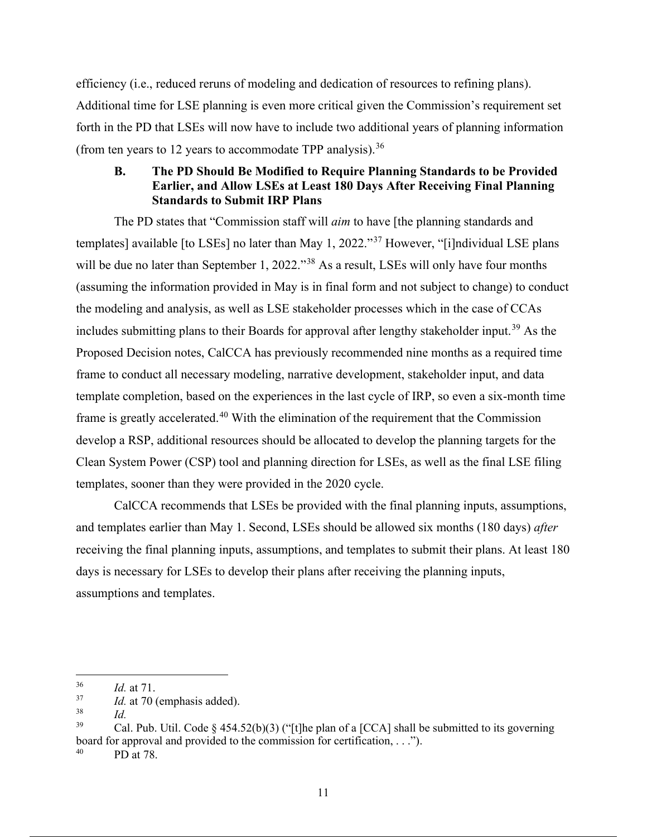efficiency (i.e., reduced reruns of modeling and dedication of resources to refining plans). Additional time for LSE planning is even more critical given the Commission's requirement set forth in the PD that LSEs will now have to include two additional years of planning information (from ten years to 12 years to accommodate TPP analysis).<sup>36</sup>

## **B. The PD Should Be Modified to Require Planning Standards to be Provided Earlier, and Allow LSEs at Least 180 Days After Receiving Final Planning Standards to Submit IRP Plans**

The PD states that "Commission staff will *aim* to have [the planning standards and templates] available [to LSEs] no later than May 1, 2022."37 However, "[i]ndividual LSE plans will be due no later than September 1, 2022."<sup>38</sup> As a result, LSEs will only have four months (assuming the information provided in May is in final form and not subject to change) to conduct the modeling and analysis, as well as LSE stakeholder processes which in the case of CCAs includes submitting plans to their Boards for approval after lengthy stakeholder input.<sup>39</sup> As the Proposed Decision notes, CalCCA has previously recommended nine months as a required time frame to conduct all necessary modeling, narrative development, stakeholder input, and data template completion, based on the experiences in the last cycle of IRP, so even a six-month time frame is greatly accelerated.<sup>40</sup> With the elimination of the requirement that the Commission develop a RSP, additional resources should be allocated to develop the planning targets for the Clean System Power (CSP) tool and planning direction for LSEs, as well as the final LSE filing templates, sooner than they were provided in the 2020 cycle.

CalCCA recommends that LSEs be provided with the final planning inputs, assumptions, and templates earlier than May 1. Second, LSEs should be allowed six months (180 days) *after* receiving the final planning inputs, assumptions, and templates to submit their plans. At least 180 days is necessary for LSEs to develop their plans after receiving the planning inputs, assumptions and templates.

 $\frac{36}{37}$  *Id.* at 71.

 $\frac{37}{38}$  *Id.* at 70 (emphasis added).

 $\frac{38}{39}$  *Id.* 

Cal. Pub. Util. Code § 454.52(b)(3) ("[t]he plan of a [CCA] shall be submitted to its governing board for approval and provided to the commission for certification, . . .").

PD at 78.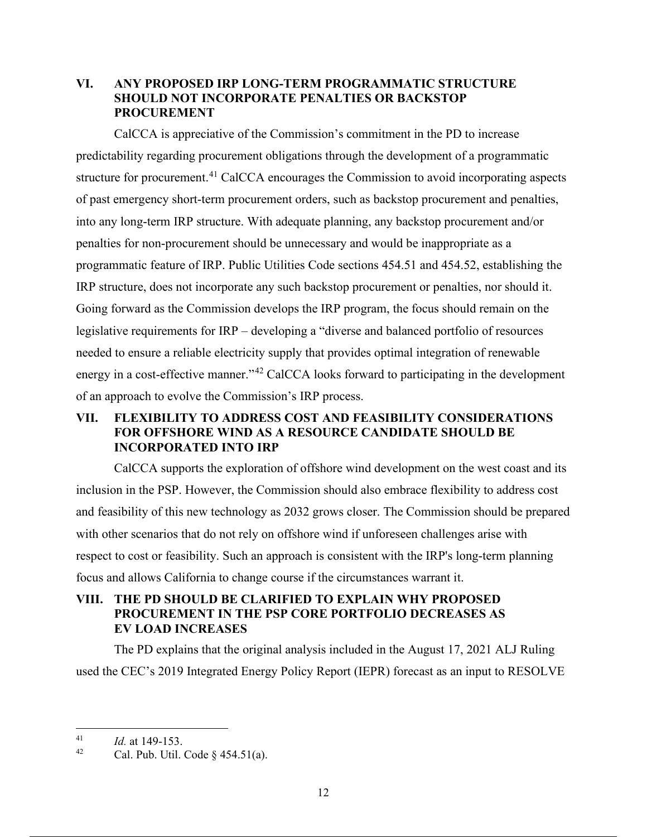#### **VI. ANY PROPOSED IRP LONG-TERM PROGRAMMATIC STRUCTURE SHOULD NOT INCORPORATE PENALTIES OR BACKSTOP PROCUREMENT**

CalCCA is appreciative of the Commission's commitment in the PD to increase predictability regarding procurement obligations through the development of a programmatic structure for procurement.<sup>41</sup> CalCCA encourages the Commission to avoid incorporating aspects of past emergency short-term procurement orders, such as backstop procurement and penalties, into any long-term IRP structure. With adequate planning, any backstop procurement and/or penalties for non-procurement should be unnecessary and would be inappropriate as a programmatic feature of IRP. Public Utilities Code sections 454.51 and 454.52, establishing the IRP structure, does not incorporate any such backstop procurement or penalties, nor should it. Going forward as the Commission develops the IRP program, the focus should remain on the legislative requirements for IRP – developing a "diverse and balanced portfolio of resources needed to ensure a reliable electricity supply that provides optimal integration of renewable energy in a cost-effective manner."<sup>42</sup> CalCCA looks forward to participating in the development of an approach to evolve the Commission's IRP process.

## **VII. FLEXIBILITY TO ADDRESS COST AND FEASIBILITY CONSIDERATIONS FOR OFFSHORE WIND AS A RESOURCE CANDIDATE SHOULD BE INCORPORATED INTO IRP**

CalCCA supports the exploration of offshore wind development on the west coast and its inclusion in the PSP. However, the Commission should also embrace flexibility to address cost and feasibility of this new technology as 2032 grows closer. The Commission should be prepared with other scenarios that do not rely on offshore wind if unforeseen challenges arise with respect to cost or feasibility. Such an approach is consistent with the IRP's long-term planning focus and allows California to change course if the circumstances warrant it.

## **VIII. THE PD SHOULD BE CLARIFIED TO EXPLAIN WHY PROPOSED PROCUREMENT IN THE PSP CORE PORTFOLIO DECREASES AS EV LOAD INCREASES**

The PD explains that the original analysis included in the August 17, 2021 ALJ Ruling used the CEC's 2019 Integrated Energy Policy Report (IEPR) forecast as an input to RESOLVE

 $\frac{41}{42}$  *Id.* at 149-153.

Cal. Pub. Util. Code  $\S$  454.51(a).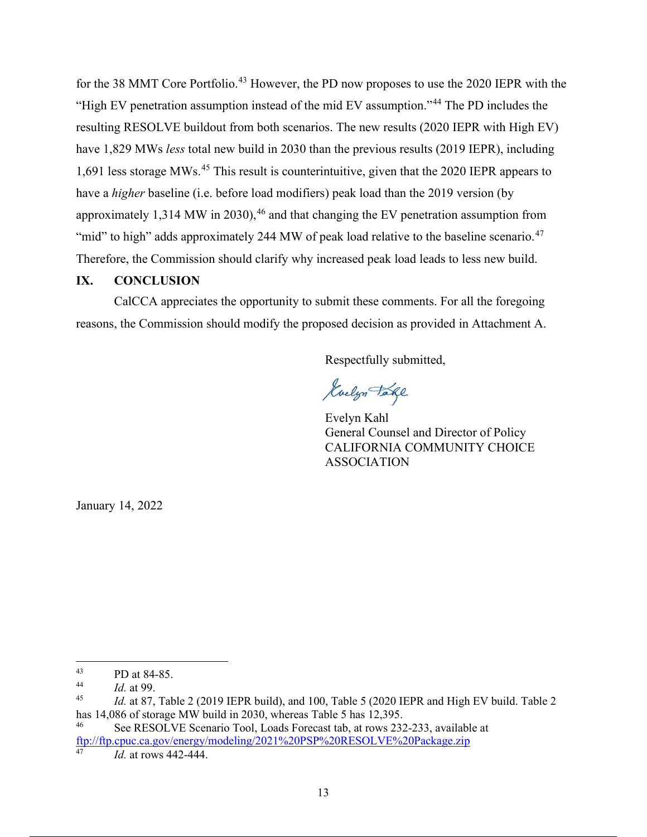for the 38 MMT Core Portfolio.<sup>43</sup> However, the PD now proposes to use the 2020 IEPR with the "High EV penetration assumption instead of the mid EV assumption."44 The PD includes the resulting RESOLVE buildout from both scenarios. The new results (2020 IEPR with High EV) have 1,829 MWs *less* total new build in 2030 than the previous results (2019 IEPR), including 1,691 less storage MWs.<sup>45</sup> This result is counterintuitive, given that the 2020 IEPR appears to have a *higher* baseline (i.e. before load modifiers) peak load than the 2019 version (by approximately 1,314 MW in 2030),  $46$  and that changing the EV penetration assumption from "mid" to high" adds approximately 244 MW of peak load relative to the baseline scenario.<sup>47</sup> Therefore, the Commission should clarify why increased peak load leads to less new build.

#### **IX. CONCLUSION**

CalCCA appreciates the opportunity to submit these comments. For all the foregoing reasons, the Commission should modify the proposed decision as provided in Attachment A.

Respectfully submitted,

Kuelyn Take

Evelyn Kahl General Counsel and Director of Policy CALIFORNIA COMMUNITY CHOICE ASSOCIATION

January 14, 2022

<sup>&</sup>lt;sup>43</sup> PD at 84-85.

 $\frac{44}{10}$  *Id.* at 99.

*Id.* at 87, Table 2 (2019 IEPR build), and 100, Table 5 (2020 IEPR and High EV build. Table 2 has 14,086 of storage MW build in 2030, whereas Table 5 has 12,395.

See RESOLVE Scenario Tool, Loads Forecast tab, at rows 232-233, available at ftp://ftp.cpuc.ca.gov/energy/modeling/2021%20PSP%20RESOLVE%20Package.zip

*Id.* at rows 442-444.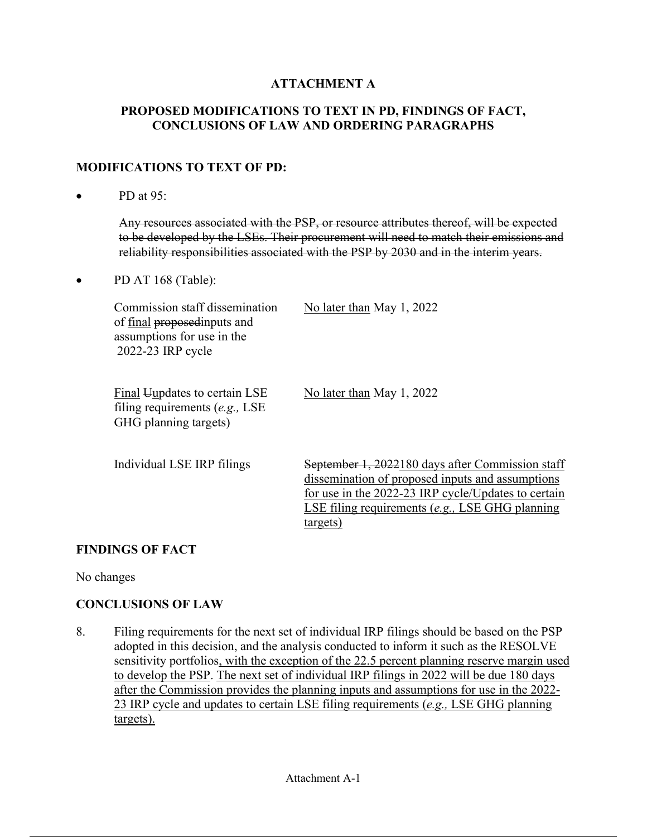# **ATTACHMENT A**

## **PROPOSED MODIFICATIONS TO TEXT IN PD, FINDINGS OF FACT, CONCLUSIONS OF LAW AND ORDERING PARAGRAPHS**

### **MODIFICATIONS TO TEXT OF PD:**

• PD at 95:

Any resources associated with the PSP, or resource attributes thereof, will be expected to be developed by the LSEs. Their procurement will need to match their emissions and reliability responsibilities associated with the PSP by 2030 and in the interim years.

• PD AT 168 (Table):

| Commission staff dissemination<br>of final proposedinputs and<br>assumptions for use in the<br>2022-23 IRP cycle | No later than May 1, 2022                                                                                                                                                                                                    |
|------------------------------------------------------------------------------------------------------------------|------------------------------------------------------------------------------------------------------------------------------------------------------------------------------------------------------------------------------|
| Final Uupdates to certain LSE<br>filing requirements $(e.g., LSE)$<br>GHG planning targets)                      | No later than May 1, 2022                                                                                                                                                                                                    |
| Individual LSE IRP filings                                                                                       | September 1, 2022180 days after Commission staff<br>dissemination of proposed inputs and assumptions<br>for use in the 2022-23 IRP cycle/Updates to certain<br>LSE filing requirements $(e.g., LSE$ GHG planning<br>targets) |

## **FINDINGS OF FACT**

No changes

## **CONCLUSIONS OF LAW**

8. Filing requirements for the next set of individual IRP filings should be based on the PSP adopted in this decision, and the analysis conducted to inform it such as the RESOLVE sensitivity portfolios, with the exception of the 22.5 percent planning reserve margin used to develop the PSP. The next set of individual IRP filings in 2022 will be due 180 days after the Commission provides the planning inputs and assumptions for use in the 2022- 23 IRP cycle and updates to certain LSE filing requirements (*e.g.,* LSE GHG planning targets).